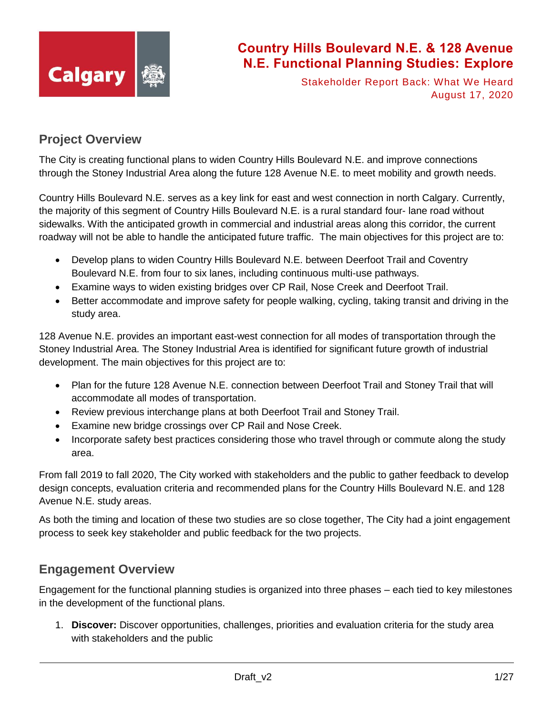

Stakeholder Report Back: What We Heard August 17, 2020

### **Project Overview**

The City is creating functional plans to widen Country Hills Boulevard N.E. and improve connections through the Stoney Industrial Area along the future 128 Avenue N.E. to meet mobility and growth needs.

Country Hills Boulevard N.E. serves as a key link for east and west connection in north Calgary. Currently, the majority of this segment of Country Hills Boulevard N.E. is a rural standard four- lane road without sidewalks. With the anticipated growth in commercial and industrial areas along this corridor, the current roadway will not be able to handle the anticipated future traffic. The main objectives for this project are to:

- Develop plans to widen Country Hills Boulevard N.E. between Deerfoot Trail and Coventry Boulevard N.E. from four to six lanes, including continuous multi-use pathways.
- Examine ways to widen existing bridges over CP Rail, Nose Creek and Deerfoot Trail.
- Better accommodate and improve safety for people walking, cycling, taking transit and driving in the study area.

128 Avenue N.E. provides an important east-west connection for all modes of transportation through the Stoney Industrial Area. The Stoney Industrial Area is identified for significant future growth of industrial development. The main objectives for this project are to:

- Plan for the future 128 Avenue N.E. connection between Deerfoot Trail and Stoney Trail that will accommodate all modes of transportation.
- Review previous interchange plans at both Deerfoot Trail and Stoney Trail.
- Examine new bridge crossings over CP Rail and Nose Creek.
- Incorporate safety best practices considering those who travel through or commute along the study area.

From fall 2019 to fall 2020, The City worked with stakeholders and the public to gather feedback to develop design concepts, evaluation criteria and recommended plans for the Country Hills Boulevard N.E. and 128 Avenue N.E. study areas.

As both the timing and location of these two studies are so close together, The City had a joint engagement process to seek key stakeholder and public feedback for the two projects.

### **Engagement Overview**

Engagement for the functional planning studies is organized into three phases – each tied to key milestones in the development of the functional plans.

1. **Discover:** Discover opportunities, challenges, priorities and evaluation criteria for the study area with stakeholders and the public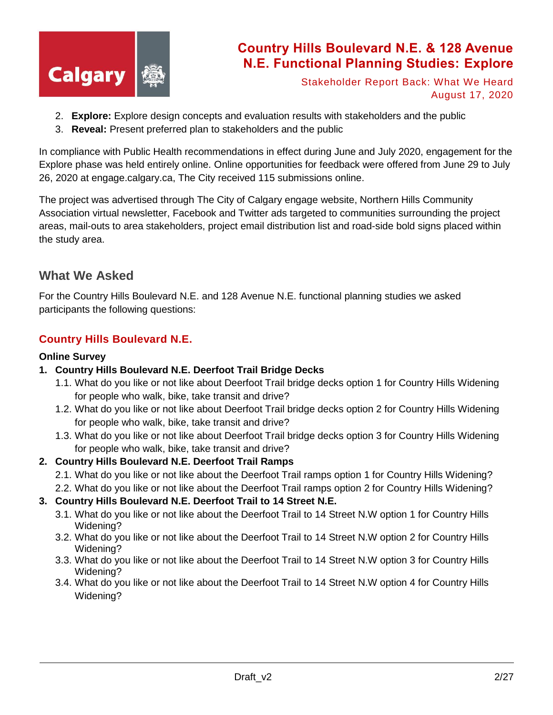

Stakeholder Report Back: What We Heard August 17, 2020

- 2. **Explore:** Explore design concepts and evaluation results with stakeholders and the public
- 3. **Reveal:** Present preferred plan to stakeholders and the public

In compliance with Public Health recommendations in effect during June and July 2020, engagement for the Explore phase was held entirely online. Online opportunities for feedback were offered from June 29 to July 26, 2020 at engage.calgary.ca, The City received 115 submissions online.

The project was advertised through The City of Calgary engage website, Northern Hills Community Association virtual newsletter, Facebook and Twitter ads targeted to communities surrounding the project areas, mail-outs to area stakeholders, project email distribution list and road-side bold signs placed within the study area.

### **What We Asked**

For the Country Hills Boulevard N.E. and 128 Avenue N.E. functional planning studies we asked participants the following questions:

### **Country Hills Boulevard N.E.**

#### **Online Survey**

- **1. Country Hills Boulevard N.E. Deerfoot Trail Bridge Decks**
	- 1.1. What do you like or not like about Deerfoot Trail bridge decks option 1 for Country Hills Widening for people who walk, bike, take transit and drive?
	- 1.2. What do you like or not like about Deerfoot Trail bridge decks option 2 for Country Hills Widening for people who walk, bike, take transit and drive?
	- 1.3. What do you like or not like about Deerfoot Trail bridge decks option 3 for Country Hills Widening for people who walk, bike, take transit and drive?

### **2. Country Hills Boulevard N.E. Deerfoot Trail Ramps**

- 2.1. What do you like or not like about the Deerfoot Trail ramps option 1 for Country Hills Widening?
- 2.2. What do you like or not like about the Deerfoot Trail ramps option 2 for Country Hills Widening?

#### **3. Country Hills Boulevard N.E. Deerfoot Trail to 14 Street N.E.**

- 3.1. What do you like or not like about the Deerfoot Trail to 14 Street N.W option 1 for Country Hills Widening?
- 3.2. What do you like or not like about the Deerfoot Trail to 14 Street N.W option 2 for Country Hills Widening?
- 3.3. What do you like or not like about the Deerfoot Trail to 14 Street N.W option 3 for Country Hills Widening?
- 3.4. What do you like or not like about the Deerfoot Trail to 14 Street N.W option 4 for Country Hills Widening?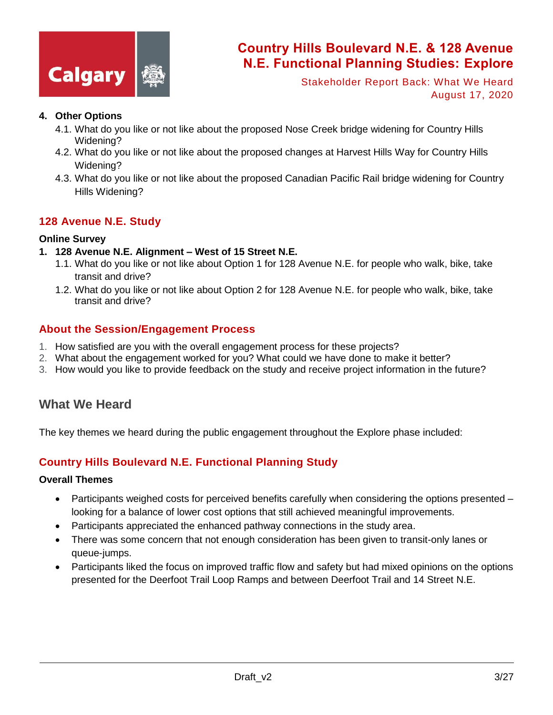

Stakeholder Report Back: What We Heard August 17, 2020

#### **4. Other Options**

- 4.1. What do you like or not like about the proposed Nose Creek bridge widening for Country Hills Widening?
- 4.2. What do you like or not like about the proposed changes at Harvest Hills Way for Country Hills Widening?
- 4.3. What do you like or not like about the proposed Canadian Pacific Rail bridge widening for Country Hills Widening?

#### **128 Avenue N.E. Study**

#### **Online Survey**

- **1. 128 Avenue N.E. Alignment – West of 15 Street N.E.**
	- 1.1. What do you like or not like about Option 1 for 128 Avenue N.E. for people who walk, bike, take transit and drive?
	- 1.2. What do you like or not like about Option 2 for 128 Avenue N.E. for people who walk, bike, take transit and drive?

#### **About the Session/Engagement Process**

- 1. How satisfied are you with the overall engagement process for these projects?
- 2. What about the engagement worked for you? What could we have done to make it better?
- 3. How would you like to provide feedback on the study and receive project information in the future?

### **What We Heard**

The key themes we heard during the public engagement throughout the Explore phase included:

### **Country Hills Boulevard N.E. Functional Planning Study**

#### **Overall Themes**

- Participants weighed costs for perceived benefits carefully when considering the options presented looking for a balance of lower cost options that still achieved meaningful improvements.
- Participants appreciated the enhanced pathway connections in the study area.
- There was some concern that not enough consideration has been given to transit-only lanes or queue-jumps.
- Participants liked the focus on improved traffic flow and safety but had mixed opinions on the options presented for the Deerfoot Trail Loop Ramps and between Deerfoot Trail and 14 Street N.E.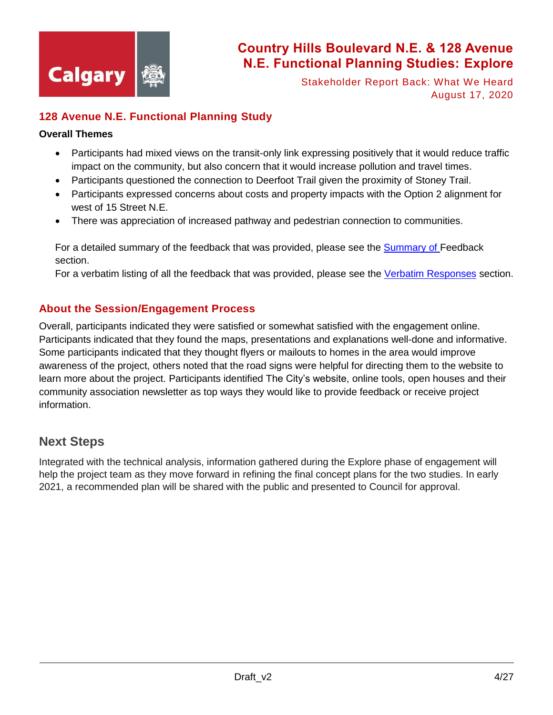

Stakeholder Report Back: What We Heard August 17, 2020

### **128 Avenue N.E. Functional Planning Study**

#### **Overall Themes**

- Participants had mixed views on the transit-only link expressing positively that it would reduce traffic impact on the community, but also concern that it would increase pollution and travel times.
- Participants questioned the connection to Deerfoot Trail given the proximity of Stoney Trail.
- Participants expressed concerns about costs and property impacts with the Option 2 alignment for west of 15 Street N.E.
- There was appreciation of increased pathway and pedestrian connection to communities.

For a detailed summary of the feedback that was provided, please see the Summary of Feedback section.

For a verbatim listing of all the feedback that was provided, please see the [Verbatim Responses](#page-6-0) section.

#### **About the Session/Engagement Process**

Overall, participants indicated they were satisfied or somewhat satisfied with the engagement online. Participants indicated that they found the maps, presentations and explanations well-done and informative. Some participants indicated that they thought flyers or mailouts to homes in the area would improve awareness of the project, others noted that the road signs were helpful for directing them to the website to learn more about the project. Participants identified The City's website, online tools, open houses and their community association newsletter as top ways they would like to provide feedback or receive project information.

### **Next Steps**

Integrated with the technical analysis, information gathered during the Explore phase of engagement will help the project team as they move forward in refining the final concept plans for the two studies. In early 2021, a recommended plan will be shared with the public and presented to Council for approval.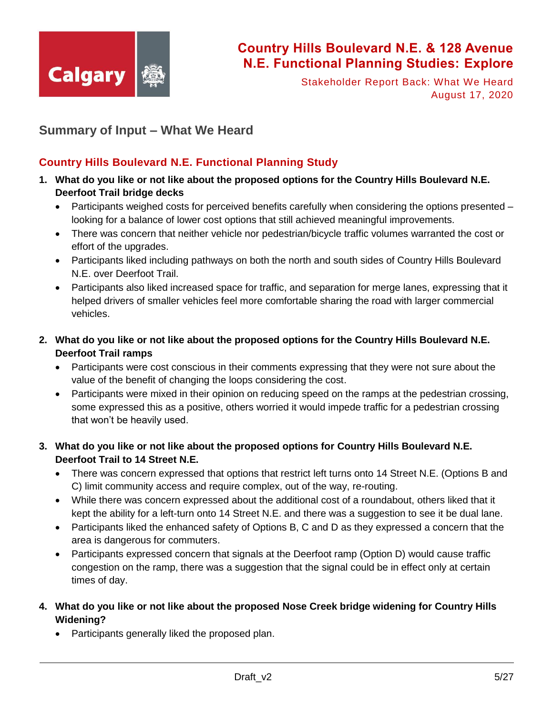

Stakeholder Report Back: What We Heard August 17, 2020

### **Summary of Input – What We Heard**

### **Country Hills Boulevard N.E. Functional Planning Study**

- **1. What do you like or not like about the proposed options for the Country Hills Boulevard N.E. Deerfoot Trail bridge decks**
	- $\bullet$  Participants weighed costs for perceived benefits carefully when considering the options presented  $$ looking for a balance of lower cost options that still achieved meaningful improvements.
	- There was concern that neither vehicle nor pedestrian/bicycle traffic volumes warranted the cost or effort of the upgrades.
	- Participants liked including pathways on both the north and south sides of Country Hills Boulevard N.E. over Deerfoot Trail.
	- Participants also liked increased space for traffic, and separation for merge lanes, expressing that it helped drivers of smaller vehicles feel more comfortable sharing the road with larger commercial vehicles.
- **2. What do you like or not like about the proposed options for the Country Hills Boulevard N.E. Deerfoot Trail ramps**
	- Participants were cost conscious in their comments expressing that they were not sure about the value of the benefit of changing the loops considering the cost.
	- Participants were mixed in their opinion on reducing speed on the ramps at the pedestrian crossing, some expressed this as a positive, others worried it would impede traffic for a pedestrian crossing that won't be heavily used.

#### **3. What do you like or not like about the proposed options for Country Hills Boulevard N.E. Deerfoot Trail to 14 Street N.E.**

- There was concern expressed that options that restrict left turns onto 14 Street N.E. (Options B and C) limit community access and require complex, out of the way, re-routing.
- While there was concern expressed about the additional cost of a roundabout, others liked that it kept the ability for a left-turn onto 14 Street N.E. and there was a suggestion to see it be dual lane.
- Participants liked the enhanced safety of Options B, C and D as they expressed a concern that the area is dangerous for commuters.
- Participants expressed concern that signals at the Deerfoot ramp (Option D) would cause traffic congestion on the ramp, there was a suggestion that the signal could be in effect only at certain times of day.
- **4. What do you like or not like about the proposed Nose Creek bridge widening for Country Hills Widening?**
	- Participants generally liked the proposed plan.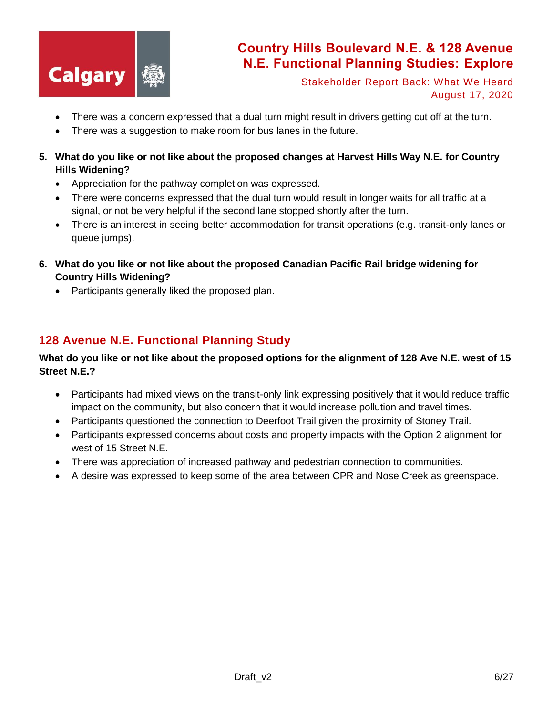

Stakeholder Report Back: What We Heard August 17, 2020

- There was a concern expressed that a dual turn might result in drivers getting cut off at the turn.
- There was a suggestion to make room for bus lanes in the future.
- **5. What do you like or not like about the proposed changes at Harvest Hills Way N.E. for Country Hills Widening?**
	- Appreciation for the pathway completion was expressed.
	- There were concerns expressed that the dual turn would result in longer waits for all traffic at a signal, or not be very helpful if the second lane stopped shortly after the turn.
	- There is an interest in seeing better accommodation for transit operations (e.g. transit-only lanes or queue jumps).
- **6. What do you like or not like about the proposed Canadian Pacific Rail bridge widening for Country Hills Widening?**
	- Participants generally liked the proposed plan.

### **128 Avenue N.E. Functional Planning Study**

#### **What do you like or not like about the proposed options for the alignment of 128 Ave N.E. west of 15 Street N.E.?**

- Participants had mixed views on the transit-only link expressing positively that it would reduce traffic impact on the community, but also concern that it would increase pollution and travel times.
- Participants questioned the connection to Deerfoot Trail given the proximity of Stoney Trail.
- Participants expressed concerns about costs and property impacts with the Option 2 alignment for west of 15 Street N.E.
- There was appreciation of increased pathway and pedestrian connection to communities.
- A desire was expressed to keep some of the area between CPR and Nose Creek as greenspace.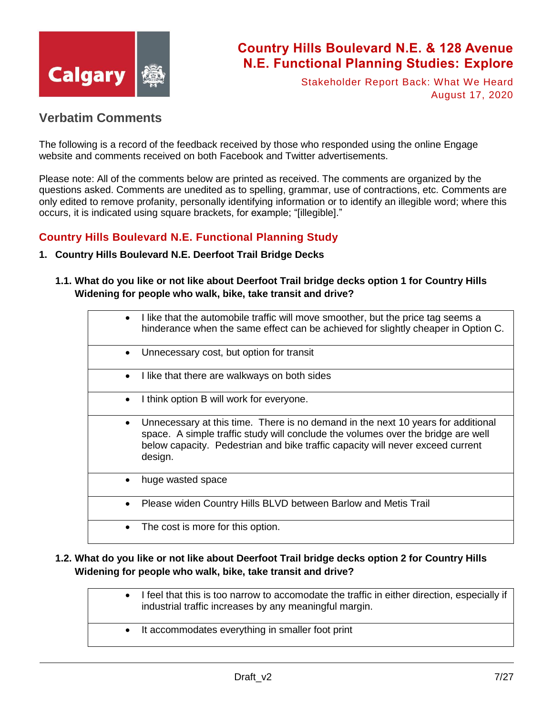

Stakeholder Report Back: What We Heard August 17, 2020

### <span id="page-6-0"></span>**Verbatim Comments**

The following is a record of the feedback received by those who responded using the online Engage website and comments received on both Facebook and Twitter advertisements.

Please note: All of the comments below are printed as received. The comments are organized by the questions asked. Comments are unedited as to spelling, grammar, use of contractions, etc. Comments are only edited to remove profanity, personally identifying information or to identify an illegible word; where this occurs, it is indicated using square brackets, for example; "[illegible]."

#### **Country Hills Boulevard N.E. Functional Planning Study**

#### **1. Country Hills Boulevard N.E. Deerfoot Trail Bridge Decks**

**1.1. What do you like or not like about Deerfoot Trail bridge decks option 1 for Country Hills Widening for people who walk, bike, take transit and drive?**

| $\bullet$ | I like that the automobile traffic will move smoother, but the price tag seems a<br>hinderance when the same effect can be achieved for slightly cheaper in Option C.                                                                                             |
|-----------|-------------------------------------------------------------------------------------------------------------------------------------------------------------------------------------------------------------------------------------------------------------------|
| $\bullet$ | Unnecessary cost, but option for transit                                                                                                                                                                                                                          |
| $\bullet$ | I like that there are walkways on both sides                                                                                                                                                                                                                      |
| $\bullet$ | I think option B will work for everyone.                                                                                                                                                                                                                          |
| $\bullet$ | Unnecessary at this time. There is no demand in the next 10 years for additional<br>space. A simple traffic study will conclude the volumes over the bridge are well<br>below capacity. Pedestrian and bike traffic capacity will never exceed current<br>design. |
|           | huge wasted space                                                                                                                                                                                                                                                 |
|           | Please widen Country Hills BLVD between Barlow and Metis Trail                                                                                                                                                                                                    |
|           | The cost is more for this option.                                                                                                                                                                                                                                 |

#### **1.2. What do you like or not like about Deerfoot Trail bridge decks option 2 for Country Hills Widening for people who walk, bike, take transit and drive?**

• I feel that this is too narrow to accomodate the traffic in either direction, especially if industrial traffic increases by any meaningful margin. It accommodates everything in smaller foot print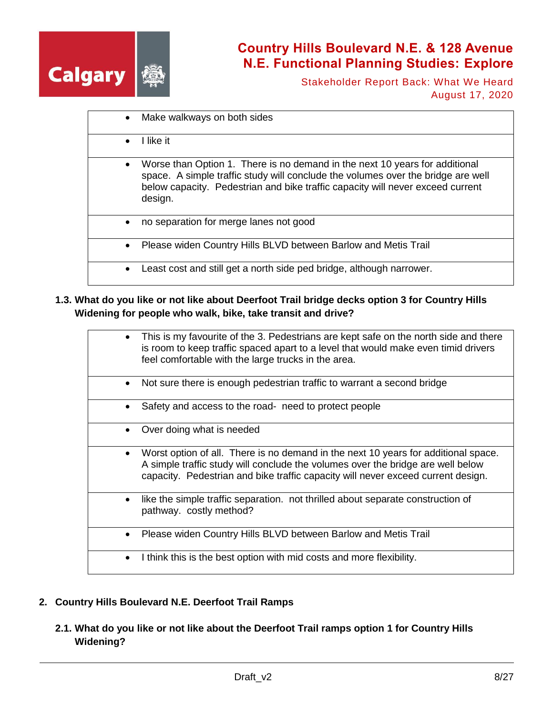

Stakeholder Report Back: What We Heard August 17, 2020

|           | Make walkways on both sides                                                                                                                                                                                                                                  |
|-----------|--------------------------------------------------------------------------------------------------------------------------------------------------------------------------------------------------------------------------------------------------------------|
| $\bullet$ | I like it                                                                                                                                                                                                                                                    |
| $\bullet$ | Worse than Option 1. There is no demand in the next 10 years for additional<br>space. A simple traffic study will conclude the volumes over the bridge are well<br>below capacity. Pedestrian and bike traffic capacity will never exceed current<br>design. |
| $\bullet$ | no separation for merge lanes not good                                                                                                                                                                                                                       |
|           | Please widen Country Hills BLVD between Barlow and Metis Trail                                                                                                                                                                                               |
|           | Least cost and still get a north side ped bridge, although narrower.                                                                                                                                                                                         |

**1.3. What do you like or not like about Deerfoot Trail bridge decks option 3 for Country Hills Widening for people who walk, bike, take transit and drive?**

|           | This is my favourite of the 3. Pedestrians are kept safe on the north side and there<br>is room to keep traffic spaced apart to a level that would make even timid drivers<br>feel comfortable with the large trucks in the area.                         |
|-----------|-----------------------------------------------------------------------------------------------------------------------------------------------------------------------------------------------------------------------------------------------------------|
|           | Not sure there is enough pedestrian traffic to warrant a second bridge                                                                                                                                                                                    |
|           | Safety and access to the road- need to protect people                                                                                                                                                                                                     |
|           | Over doing what is needed                                                                                                                                                                                                                                 |
|           | Worst option of all. There is no demand in the next 10 years for additional space.<br>A simple traffic study will conclude the volumes over the bridge are well below<br>capacity. Pedestrian and bike traffic capacity will never exceed current design. |
| $\bullet$ | like the simple traffic separation. not thrilled about separate construction of<br>pathway. costly method?                                                                                                                                                |
| $\bullet$ | Please widen Country Hills BLVD between Barlow and Metis Trail                                                                                                                                                                                            |
|           | I think this is the best option with mid costs and more flexibility.                                                                                                                                                                                      |

#### **2. Country Hills Boulevard N.E. Deerfoot Trail Ramps**

**2.1. What do you like or not like about the Deerfoot Trail ramps option 1 for Country Hills Widening?**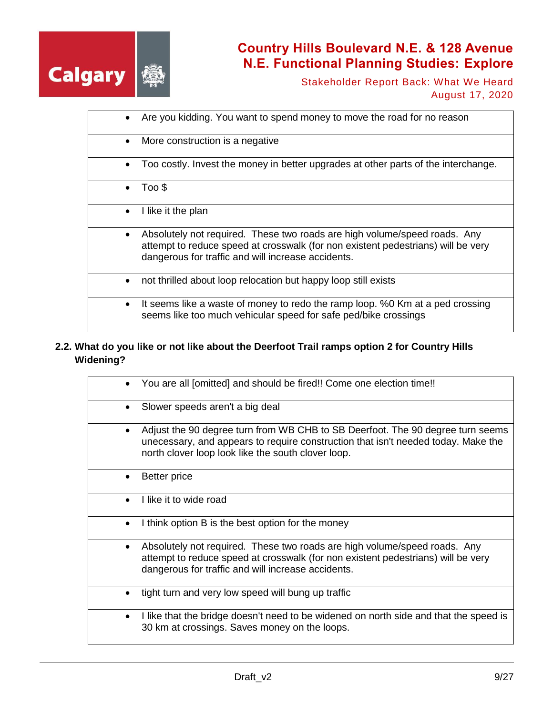

Stakeholder Report Back: What We Heard August 17, 2020

|           | Are you kidding. You want to spend money to move the road for no reason                                                                                                                                             |
|-----------|---------------------------------------------------------------------------------------------------------------------------------------------------------------------------------------------------------------------|
| $\bullet$ | More construction is a negative                                                                                                                                                                                     |
| $\bullet$ | Too costly. Invest the money in better upgrades at other parts of the interchange.                                                                                                                                  |
| $\bullet$ | Too \$                                                                                                                                                                                                              |
| $\bullet$ | I like it the plan                                                                                                                                                                                                  |
| $\bullet$ | Absolutely not required. These two roads are high volume/speed roads. Any<br>attempt to reduce speed at crosswalk (for non existent pedestrians) will be very<br>dangerous for traffic and will increase accidents. |
| ٠         | not thrilled about loop relocation but happy loop still exists                                                                                                                                                      |
| $\bullet$ | It seems like a waste of money to redo the ramp loop. %0 Km at a ped crossing<br>seems like too much vehicular speed for safe ped/bike crossings                                                                    |

### **2.2. What do you like or not like about the Deerfoot Trail ramps option 2 for Country Hills Widening?**

|           | You are all [omitted] and should be fired!! Come one election time!!                                                                                                                                                      |
|-----------|---------------------------------------------------------------------------------------------------------------------------------------------------------------------------------------------------------------------------|
|           | Slower speeds aren't a big deal                                                                                                                                                                                           |
|           | Adjust the 90 degree turn from WB CHB to SB Deerfoot. The 90 degree turn seems<br>unecessary, and appears to require construction that isn't needed today. Make the<br>north clover loop look like the south clover loop. |
|           | Better price                                                                                                                                                                                                              |
|           | I like it to wide road                                                                                                                                                                                                    |
| ٠         | I think option B is the best option for the money                                                                                                                                                                         |
| $\bullet$ | Absolutely not required. These two roads are high volume/speed roads. Any<br>attempt to reduce speed at crosswalk (for non existent pedestrians) will be very<br>dangerous for traffic and will increase accidents.       |
|           | tight turn and very low speed will bung up traffic                                                                                                                                                                        |
| ٠         | I like that the bridge doesn't need to be widened on north side and that the speed is<br>30 km at crossings. Saves money on the loops.                                                                                    |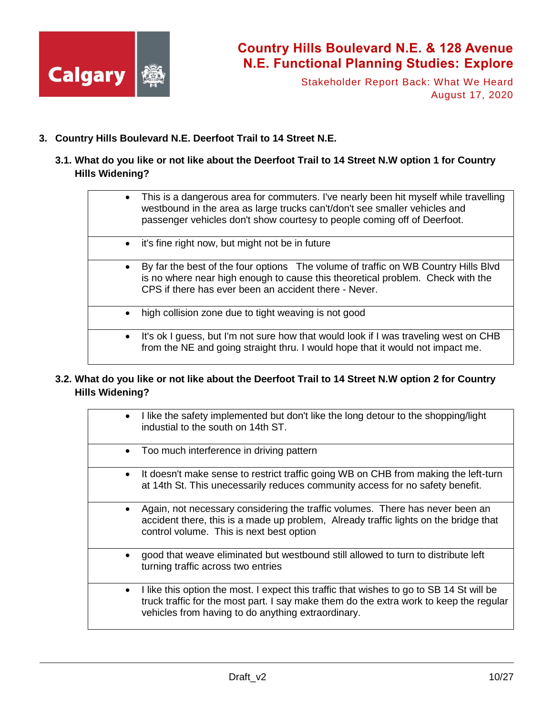

Stakeholder Report Back: What We Heard August 17, 2020

#### **3. Country Hills Boulevard N.E. Deerfoot Trail to 14 Street N.E.**

**3.1. What do you like or not like about the Deerfoot Trail to 14 Street N.W option 1 for Country Hills Widening?**

|           | • This is a dangerous area for commuters. I've nearly been hit myself while travelling<br>westbound in the area as large trucks can't/don't see smaller vehicles and                                                          |
|-----------|-------------------------------------------------------------------------------------------------------------------------------------------------------------------------------------------------------------------------------|
|           | passenger vehicles don't show courtesy to people coming off of Deerfoot.                                                                                                                                                      |
|           | • it's fine right now, but might not be in future                                                                                                                                                                             |
|           | By far the best of the four options The volume of traffic on WB Country Hills Blvd<br>is no where near high enough to cause this theoretical problem. Check with the<br>CPS if there has ever been an accident there - Never. |
| $\bullet$ | high collision zone due to tight weaving is not good                                                                                                                                                                          |
|           | • It's ok I guess, but I'm not sure how that would look if I was traveling west on CHB<br>from the NE and going straight thru. I would hope that it would not impact me.                                                      |

### **3.2. What do you like or not like about the Deerfoot Trail to 14 Street N.W option 2 for Country Hills Widening?**

|           | • I like the safety implemented but don't like the long detour to the shopping/light<br>industial to the south on 14th ST.                                                                                                               |
|-----------|------------------------------------------------------------------------------------------------------------------------------------------------------------------------------------------------------------------------------------------|
| $\bullet$ | Too much interference in driving pattern                                                                                                                                                                                                 |
| $\bullet$ | It doesn't make sense to restrict traffic going WB on CHB from making the left-turn<br>at 14th St. This unecessarily reduces community access for no safety benefit.                                                                     |
|           | Again, not necessary considering the traffic volumes. There has never been an<br>accident there, this is a made up problem, Already traffic lights on the bridge that<br>control volume. This is next best option                        |
| $\bullet$ | good that weave eliminated but westbound still allowed to turn to distribute left<br>turning traffic across two entries                                                                                                                  |
|           | I like this option the most. I expect this traffic that wishes to go to SB 14 St will be<br>truck traffic for the most part. I say make them do the extra work to keep the regular<br>vehicles from having to do anything extraordinary. |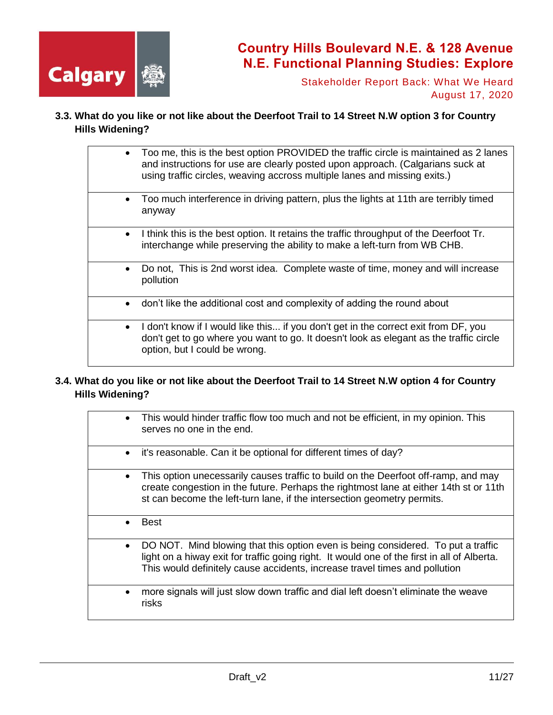

Stakeholder Report Back: What We Heard August 17, 2020

**3.3. What do you like or not like about the Deerfoot Trail to 14 Street N.W option 3 for Country Hills Widening?**

| $\bullet$ | Too me, this is the best option PROVIDED the traffic circle is maintained as 2 lanes<br>and instructions for use are clearly posted upon approach. (Calgarians suck at<br>using traffic circles, weaving accross multiple lanes and missing exits.) |
|-----------|-----------------------------------------------------------------------------------------------------------------------------------------------------------------------------------------------------------------------------------------------------|
| $\bullet$ | Too much interference in driving pattern, plus the lights at 11th are terribly timed<br>anyway                                                                                                                                                      |
| $\bullet$ | I think this is the best option. It retains the traffic throughput of the Deerfoot Tr.<br>interchange while preserving the ability to make a left-turn from WB CHB.                                                                                 |
| $\bullet$ | Do not, This is 2nd worst idea. Complete waste of time, money and will increase<br>pollution                                                                                                                                                        |
| $\bullet$ | don't like the additional cost and complexity of adding the round about                                                                                                                                                                             |
| $\bullet$ | I don't know if I would like this if you don't get in the correct exit from DF, you<br>don't get to go where you want to go. It doesn't look as elegant as the traffic circle<br>option, but I could be wrong.                                      |

#### **3.4. What do you like or not like about the Deerfoot Trail to 14 Street N.W option 4 for Country Hills Widening?**

| $\bullet$ | This would hinder traffic flow too much and not be efficient, in my opinion. This<br>serves no one in the end.                                                                                                                                                |
|-----------|---------------------------------------------------------------------------------------------------------------------------------------------------------------------------------------------------------------------------------------------------------------|
| $\bullet$ | it's reasonable. Can it be optional for different times of day?                                                                                                                                                                                               |
|           | This option unecessarily causes traffic to build on the Deerfoot off-ramp, and may<br>create congestion in the future. Perhaps the rightmost lane at either 14th st or 11th<br>st can become the left-turn lane, if the intersection geometry permits.        |
| $\bullet$ | <b>Best</b>                                                                                                                                                                                                                                                   |
| $\bullet$ | DO NOT. Mind blowing that this option even is being considered. To put a traffic<br>light on a hiway exit for traffic going right. It would one of the first in all of Alberta.<br>This would definitely cause accidents, increase travel times and pollution |
|           | more signals will just slow down traffic and dial left doesn't eliminate the weave<br>risks                                                                                                                                                                   |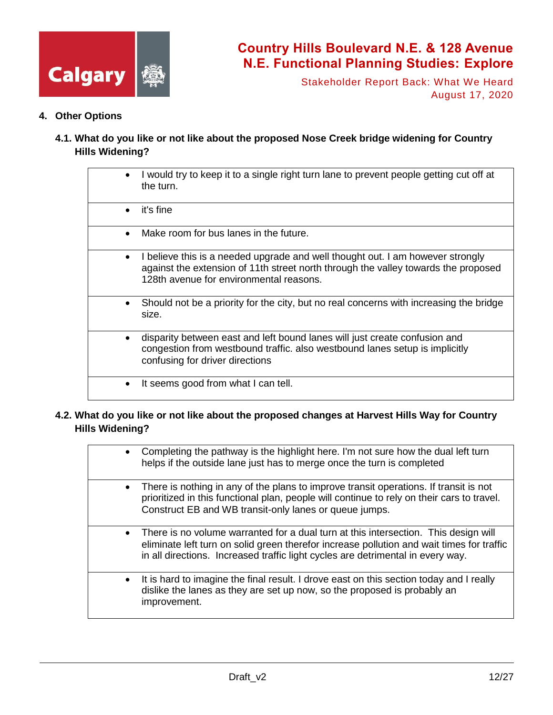

Stakeholder Report Back: What We Heard August 17, 2020

- **4. Other Options**
	- **4.1. What do you like or not like about the proposed Nose Creek bridge widening for Country Hills Widening?**

|           | I would try to keep it to a single right turn lane to prevent people getting cut off at<br>the turn.                                                                                                            |
|-----------|-----------------------------------------------------------------------------------------------------------------------------------------------------------------------------------------------------------------|
| $\bullet$ | it's fine                                                                                                                                                                                                       |
|           | Make room for bus lanes in the future.                                                                                                                                                                          |
| $\bullet$ | I believe this is a needed upgrade and well thought out. I am however strongly<br>against the extension of 11th street north through the valley towards the proposed<br>128th avenue for environmental reasons. |
| $\bullet$ | Should not be a priority for the city, but no real concerns with increasing the bridge<br>size.                                                                                                                 |
|           | disparity between east and left bound lanes will just create confusion and<br>congestion from westbound traffic. also westbound lanes setup is implicitly<br>confusing for driver directions                    |
| ٠         | It seems good from what I can tell.                                                                                                                                                                             |

#### **4.2. What do you like or not like about the proposed changes at Harvest Hills Way for Country Hills Widening?**

|           | • Completing the pathway is the highlight here. I'm not sure how the dual left turn<br>helps if the outside lane just has to merge once the turn is completed                                                                                                         |
|-----------|-----------------------------------------------------------------------------------------------------------------------------------------------------------------------------------------------------------------------------------------------------------------------|
|           | • There is nothing in any of the plans to improve transit operations. If transit is not<br>prioritized in this functional plan, people will continue to rely on their cars to travel.<br>Construct EB and WB transit-only lanes or queue jumps.                       |
|           | • There is no volume warranted for a dual turn at this intersection. This design will<br>eliminate left turn on solid green therefor increase pollution and wait times for traffic<br>in all directions. Increased traffic light cycles are detrimental in every way. |
| $\bullet$ | It is hard to imagine the final result. I drove east on this section today and I really<br>dislike the lanes as they are set up now, so the proposed is probably an<br>improvement.                                                                                   |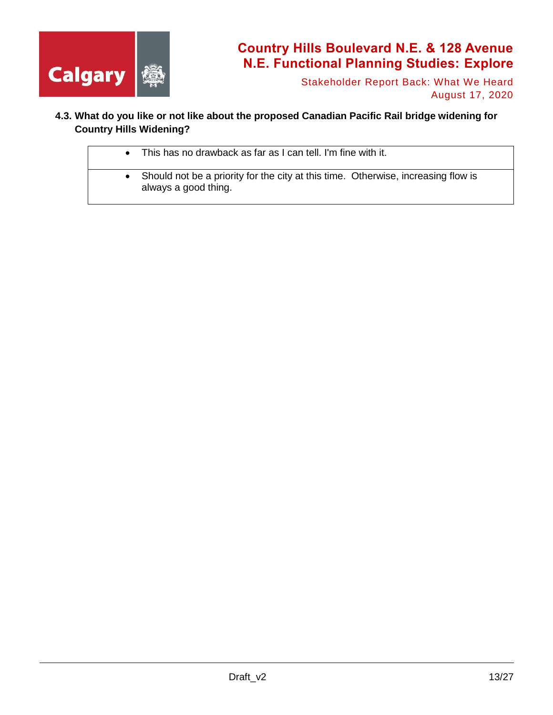

Stakeholder Report Back: What We Heard August 17, 2020

### **4.3. What do you like or not like about the proposed Canadian Pacific Rail bridge widening for Country Hills Widening?**

| This has no drawback as far as I can tell. I'm fine with it.                                                |
|-------------------------------------------------------------------------------------------------------------|
| • Should not be a priority for the city at this time. Otherwise, increasing flow is<br>always a good thing. |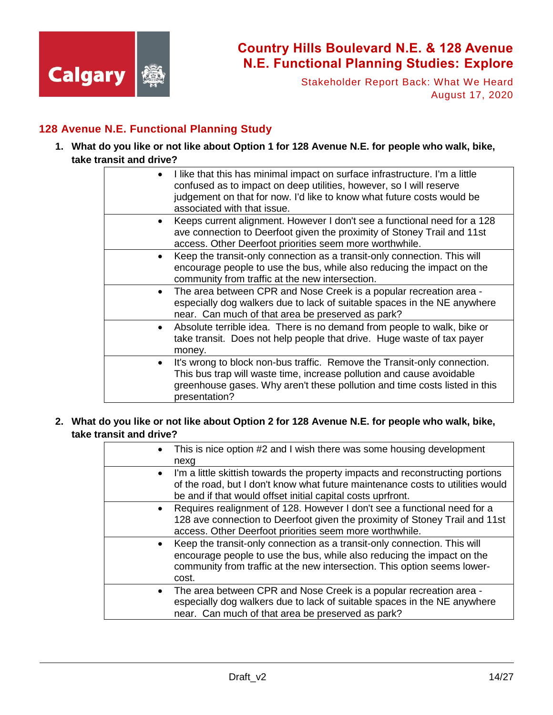

Stakeholder Report Back: What We Heard August 17, 2020

### **128 Avenue N.E. Functional Planning Study**

**1. What do you like or not like about Option 1 for 128 Avenue N.E. for people who walk, bike, take transit and drive?**

| I like that this has minimal impact on surface infrastructure. I'm a little<br>confused as to impact on deep utilities, however, so I will reserve<br>judgement on that for now. I'd like to know what future costs would be<br>associated with that issue.<br>Keeps current alignment. However I don't see a functional need for a 128<br>ave connection to Deerfoot given the proximity of Stoney Trail and 11st<br>access. Other Deerfoot priorities seem more worthwhile.<br>Keep the transit-only connection as a transit-only connection. This will<br>encourage people to use the bus, while also reducing the impact on the<br>community from traffic at the new intersection.<br>The area between CPR and Nose Creek is a popular recreation area -<br>especially dog walkers due to lack of suitable spaces in the NE anywhere<br>near. Can much of that area be preserved as park?<br>Absolute terrible idea. There is no demand from people to walk, bike or<br>take transit. Does not help people that drive. Huge waste of tax payer<br>money.<br>It's wrong to block non-bus traffic. Remove the Transit-only connection.<br>This bus trap will waste time, increase pollution and cause avoidable<br>greenhouse gases. Why aren't these pollution and time costs listed in this<br>presentation? |  |  |
|------------------------------------------------------------------------------------------------------------------------------------------------------------------------------------------------------------------------------------------------------------------------------------------------------------------------------------------------------------------------------------------------------------------------------------------------------------------------------------------------------------------------------------------------------------------------------------------------------------------------------------------------------------------------------------------------------------------------------------------------------------------------------------------------------------------------------------------------------------------------------------------------------------------------------------------------------------------------------------------------------------------------------------------------------------------------------------------------------------------------------------------------------------------------------------------------------------------------------------------------------------------------------------------------------------------|--|--|
|                                                                                                                                                                                                                                                                                                                                                                                                                                                                                                                                                                                                                                                                                                                                                                                                                                                                                                                                                                                                                                                                                                                                                                                                                                                                                                                  |  |  |
|                                                                                                                                                                                                                                                                                                                                                                                                                                                                                                                                                                                                                                                                                                                                                                                                                                                                                                                                                                                                                                                                                                                                                                                                                                                                                                                  |  |  |
|                                                                                                                                                                                                                                                                                                                                                                                                                                                                                                                                                                                                                                                                                                                                                                                                                                                                                                                                                                                                                                                                                                                                                                                                                                                                                                                  |  |  |
|                                                                                                                                                                                                                                                                                                                                                                                                                                                                                                                                                                                                                                                                                                                                                                                                                                                                                                                                                                                                                                                                                                                                                                                                                                                                                                                  |  |  |
|                                                                                                                                                                                                                                                                                                                                                                                                                                                                                                                                                                                                                                                                                                                                                                                                                                                                                                                                                                                                                                                                                                                                                                                                                                                                                                                  |  |  |
|                                                                                                                                                                                                                                                                                                                                                                                                                                                                                                                                                                                                                                                                                                                                                                                                                                                                                                                                                                                                                                                                                                                                                                                                                                                                                                                  |  |  |

**2. What do you like or not like about Option 2 for 128 Avenue N.E. for people who walk, bike, take transit and drive?**

| $\bullet$ | This is nice option #2 and I wish there was some housing development<br>nexg                                                                                                                                                            |
|-----------|-----------------------------------------------------------------------------------------------------------------------------------------------------------------------------------------------------------------------------------------|
| $\bullet$ | I'm a little skittish towards the property impacts and reconstructing portions<br>of the road, but I don't know what future maintenance costs to utilities would<br>be and if that would offset initial capital costs uprfront.         |
| $\bullet$ | Requires realignment of 128. However I don't see a functional need for a<br>128 ave connection to Deerfoot given the proximity of Stoney Trail and 11st<br>access. Other Deerfoot priorities seem more worthwhile.                      |
| $\bullet$ | Keep the transit-only connection as a transit-only connection. This will<br>encourage people to use the bus, while also reducing the impact on the<br>community from traffic at the new intersection. This option seems lower-<br>cost. |
| $\bullet$ | The area between CPR and Nose Creek is a popular recreation area -<br>especially dog walkers due to lack of suitable spaces in the NE anywhere<br>near. Can much of that area be preserved as park?                                     |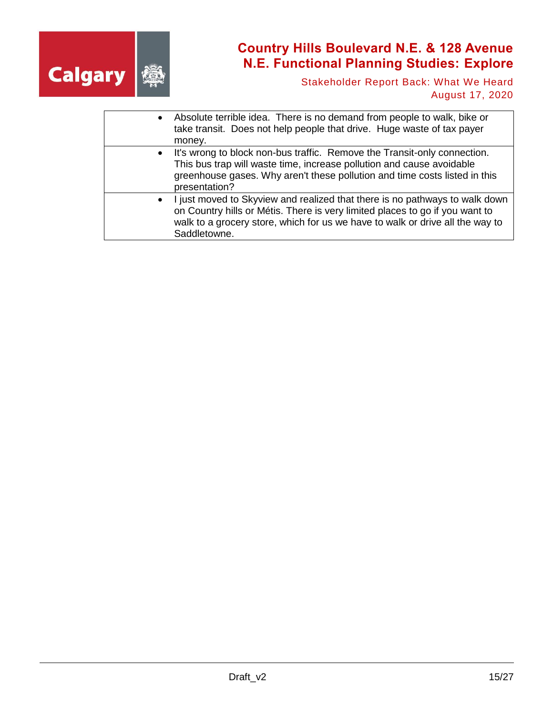

Stakeholder Report Back: What We Heard August 17, 2020

| $\bullet$ | Absolute terrible idea. There is no demand from people to walk, bike or<br>take transit. Does not help people that drive. Huge waste of tax payer<br>money.                                                                                                  |
|-----------|--------------------------------------------------------------------------------------------------------------------------------------------------------------------------------------------------------------------------------------------------------------|
| $\bullet$ | It's wrong to block non-bus traffic. Remove the Transit-only connection.<br>This bus trap will waste time, increase pollution and cause avoidable<br>greenhouse gases. Why aren't these pollution and time costs listed in this<br>presentation?             |
| $\bullet$ | I just moved to Skyview and realized that there is no pathways to walk down<br>on Country hills or Métis. There is very limited places to go if you want to<br>walk to a grocery store, which for us we have to walk or drive all the way to<br>Saddletowne. |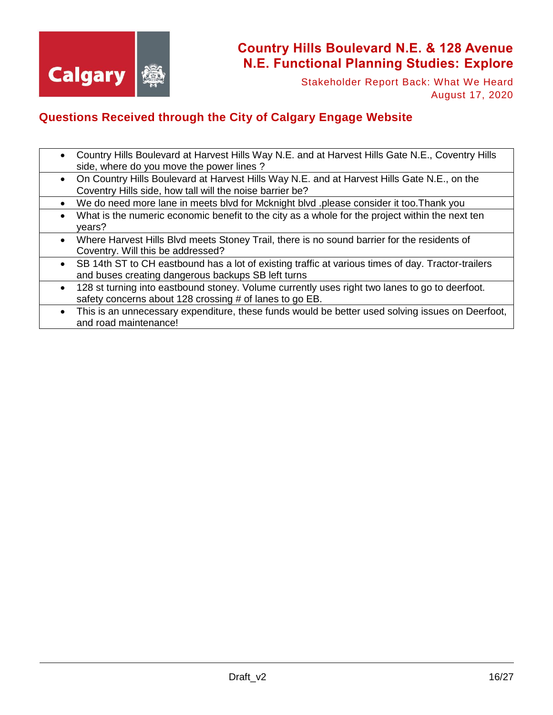

Stakeholder Report Back: What We Heard August 17, 2020

### **Questions Received through the City of Calgary Engage Website**

- Country Hills Boulevard at Harvest Hills Way N.E. and at Harvest Hills Gate N.E., Coventry Hills side, where do you move the power lines ?
- On Country Hills Boulevard at Harvest Hills Way N.E. and at Harvest Hills Gate N.E., on the Coventry Hills side, how tall will the noise barrier be?
- We do need more lane in meets blvd for Mcknight blvd .please consider it too.Thank you
- What is the numeric economic benefit to the city as a whole for the project within the next ten years?
- Where Harvest Hills Blvd meets Stoney Trail, there is no sound barrier for the residents of Coventry. Will this be addressed?
- SB 14th ST to CH eastbound has a lot of existing traffic at various times of day. Tractor-trailers and buses creating dangerous backups SB left turns
- 128 st turning into eastbound stoney. Volume currently uses right two lanes to go to deerfoot. safety concerns about 128 crossing # of lanes to go EB.
- This is an unnecessary expenditure, these funds would be better used solving issues on Deerfoot, and road maintenance!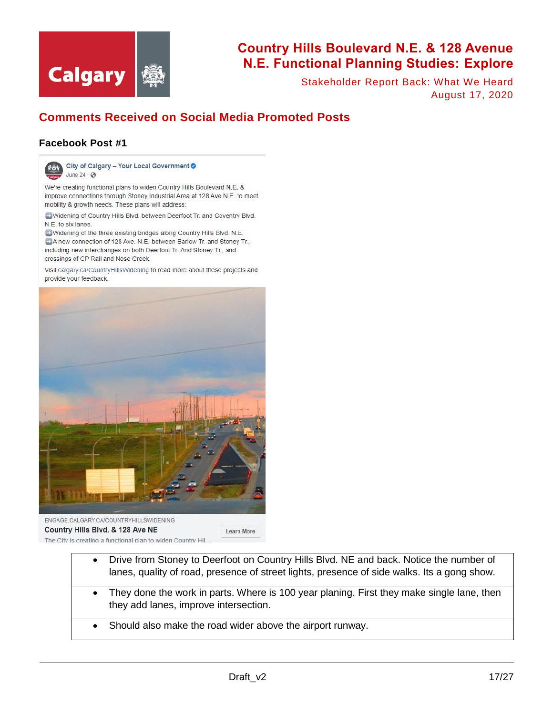

Stakeholder Report Back: What We Heard August 17, 2020

### **Comments Received on Social Media Promoted Posts**

#### **Facebook Post #1**



City of Calgary - Your Local Government O June 24  $\cdot$   $\odot$ 

We're creating functional plans to widen Country Hills Boulevard N.E. & improve connections through Stoney Industrial Area at 128 Ave N.E. to meet mobility & growth needs. These plans will address:

- Widening of Country Hills Blvd. between Deerfoot Tr. and Coventry Blvd. N.E. to six lanes.

Widening of the three existing bridges along Country Hills Blvd. N.E. A new connection of 128 Ave. N.E. between Barlow Tr. and Stoney Tr., including new interchanges on both Deerfoot Tr. And Stoney Tr., and crossings of CP Rail and Nose Creek.

Visit calgary.ca/CountryHillsWidening to read more about these projects and provide your feedback.



#### Country Hills Blvd. & 128 Ave NE Learn More The City is creating a functional plan to widen Country Hil.

- Drive from Stoney to Deerfoot on Country Hills Blvd. NE and back. Notice the number of lanes, quality of road, presence of street lights, presence of side walks. Its a gong show.
- They done the work in parts. Where is 100 year planing. First they make single lane, then they add lanes, improve intersection.
- Should also make the road wider above the airport runway.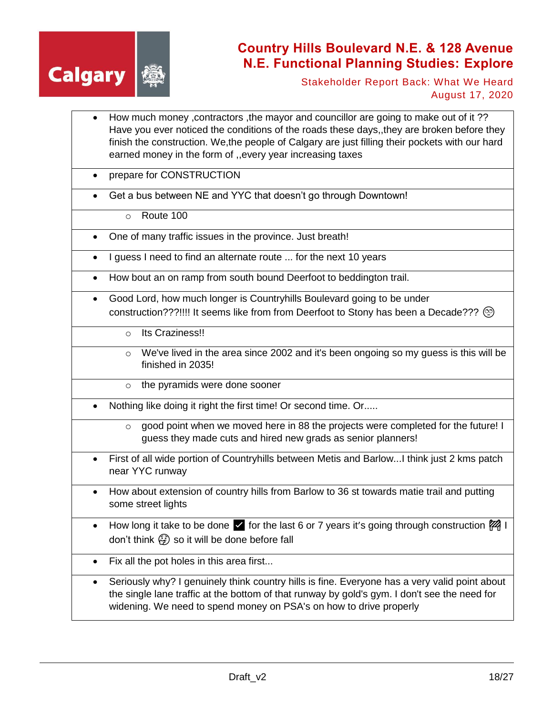

Stakeholder Report Back: What We Heard August 17, 2020

- How much money ,contractors ,the mayor and councillor are going to make out of it ?? Have you ever noticed the conditions of the roads these days,,they are broken before they finish the construction. We,the people of Calgary are just filling their pockets with our hard earned money in the form of ,,every year increasing taxes
- prepare for CONSTRUCTION
- Get a bus between NE and YYC that doesn't go through Downtown!
	- o Route 100
- One of many traffic issues in the province. Just breath!
- I guess I need to find an alternate route ... for the next 10 years
- How bout an on ramp from south bound Deerfoot to beddington trail.
- Good Lord, how much longer is Countryhills Boulevard going to be under construction???!!!! It seems like from from Deerfoot to Stony has been a Decade???  $\circledcirc$ 
	- o Its Craziness!!
	- o We've lived in the area since 2002 and it's been ongoing so my guess is this will be finished in 2035!
	- o the pyramids were done sooner
- Nothing like doing it right the first time! Or second time. Or.....
	- $\circ$  good point when we moved here in 88 the projects were completed for the future! I guess they made cuts and hired new grads as senior planners!
- First of all wide portion of Countryhills between Metis and Barlow...I think just 2 kms patch near YYC runway
- How about extension of country hills from Barlow to 36 st towards matie trail and putting some street lights
- How long it take to be done for the last 6 or 7 years it's going through construction  $\mathbb{Z}_4^2$  I don't think  $\binom{2}{3}$  so it will be done before fall
- Fix all the pot holes in this area first...
- Seriously why? I genuinely think country hills is fine. Everyone has a very valid point about the single lane traffic at the bottom of that runway by gold's gym. I don't see the need for widening. We need to spend money on PSA's on how to drive properly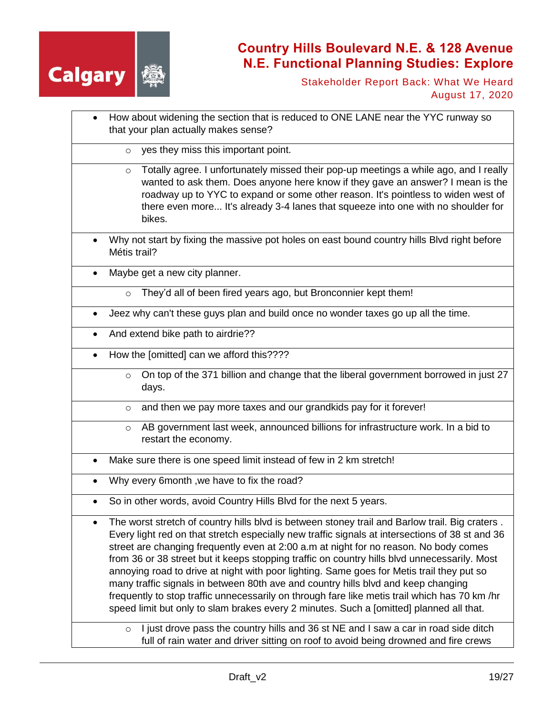

Stakeholder Report Back: What We Heard August 17, 2020

- How about widening the section that is reduced to ONE LANE near the YYC runway so that your plan actually makes sense?
	- yes they miss this important point.
	- $\circ$  Totally agree. I unfortunately missed their pop-up meetings a while ago, and I really wanted to ask them. Does anyone here know if they gave an answer? I mean is the roadway up to YYC to expand or some other reason. It's pointless to widen west of there even more... It's already 3-4 lanes that squeeze into one with no shoulder for bikes.
- Why not start by fixing the massive pot holes on east bound country hills Blvd right before Métis trail?

Maybe get a new city planner.

- They'd all of been fired years ago, but Bronconnier kept them!
- Jeez why can't these guys plan and build once no wonder taxes go up all the time.
- And extend bike path to airdrie??
- How the [omitted] can we afford this????
	- $\circ$  On top of the 371 billion and change that the liberal government borrowed in just 27 days.
	- o and then we pay more taxes and our grandkids pay for it forever!
	- o AB government last week, announced billions for infrastructure work. In a bid to restart the economy.
- Make sure there is one speed limit instead of few in 2 km stretch!
- Why every 6month ,we have to fix the road?
- So in other words, avoid Country Hills Blvd for the next 5 years.

 The worst stretch of country hills blvd is between stoney trail and Barlow trail. Big craters . Every light red on that stretch especially new traffic signals at intersections of 38 st and 36 street are changing frequently even at 2:00 a.m at night for no reason. No body comes from 36 or 38 street but it keeps stopping traffic on country hills blvd unnecessarily. Most annoying road to drive at night with poor lighting. Same goes for Metis trail they put so many traffic signals in between 80th ave and country hills blvd and keep changing frequently to stop traffic unnecessarily on through fare like metis trail which has 70 km /hr speed limit but only to slam brakes every 2 minutes. Such a [omitted] planned all that.

 $\circ$  I just drove pass the country hills and 36 st NE and I saw a car in road side ditch full of rain water and driver sitting on roof to avoid being drowned and fire crews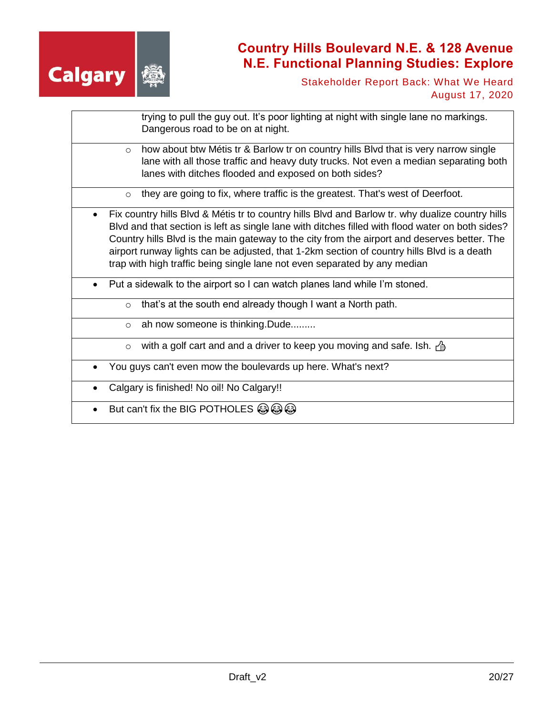

Stakeholder Report Back: What We Heard August 17, 2020

|         | trying to pull the guy out. It's poor lighting at night with single lane no markings.<br>Dangerous road to be on at night.                                                                                                                                                                                                                                                                                                                                                      |
|---------|---------------------------------------------------------------------------------------------------------------------------------------------------------------------------------------------------------------------------------------------------------------------------------------------------------------------------------------------------------------------------------------------------------------------------------------------------------------------------------|
| $\circ$ | how about btw Métis tr & Barlow tr on country hills Blvd that is very narrow single<br>lane with all those traffic and heavy duty trucks. Not even a median separating both<br>lanes with ditches flooded and exposed on both sides?                                                                                                                                                                                                                                            |
| $\circ$ | they are going to fix, where traffic is the greatest. That's west of Deerfoot.                                                                                                                                                                                                                                                                                                                                                                                                  |
|         | Fix country hills Blvd & Métis tr to country hills Blvd and Barlow tr. why dualize country hills<br>Blvd and that section is left as single lane with ditches filled with flood water on both sides?<br>Country hills Blvd is the main gateway to the city from the airport and deserves better. The<br>airport runway lights can be adjusted, that 1-2km section of country hills Blvd is a death<br>trap with high traffic being single lane not even separated by any median |
|         | Put a sidewalk to the airport so I can watch planes land while I'm stoned.                                                                                                                                                                                                                                                                                                                                                                                                      |
| $\circ$ | that's at the south end already though I want a North path.                                                                                                                                                                                                                                                                                                                                                                                                                     |
| $\circ$ | ah now someone is thinking. Dude                                                                                                                                                                                                                                                                                                                                                                                                                                                |
| $\circ$ | with a golf cart and and a driver to keep you moving and safe. Ish. $\frac{1}{2}$                                                                                                                                                                                                                                                                                                                                                                                               |
|         | You guys can't even mow the boulevards up here. What's next?                                                                                                                                                                                                                                                                                                                                                                                                                    |
|         | Calgary is finished! No oil! No Calgary!!                                                                                                                                                                                                                                                                                                                                                                                                                                       |
|         | But can't fix the BIG POTHOLES $\circledS$                                                                                                                                                                                                                                                                                                                                                                                                                                      |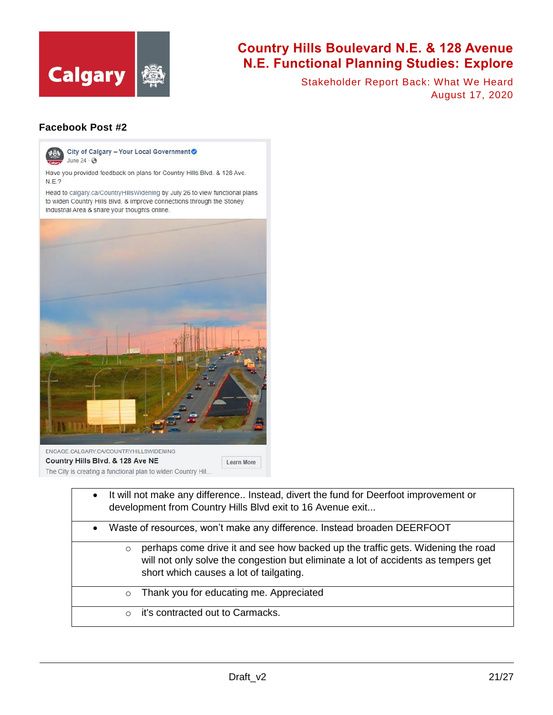

Stakeholder Report Back: What We Heard August 17, 2020

#### **Facebook Post #2**



City of Calgary - Your Local Government June 24  $\cdot$   $\odot$ 

Have you provided feedback on plans for Country Hills Blvd. & 128 Ave.  $N.E.?$ 

Head to calgary.ca/CountryHillsWidening by July 26 to view functional plans to widen Country Hills Blvd. & improve connections through the Stoney Industrial Area & share your thoughts online.



The City is creating a functional plan to widen Country Hil..

• It will not make any difference.. Instead, divert the fund for Deerfoot improvement or development from Country Hills Blvd exit to 16 Avenue exit... Waste of resources, won't make any difference. Instead broaden DEERFOOT  $\circ$  perhaps come drive it and see how backed up the traffic gets. Widening the road will not only solve the congestion but eliminate a lot of accidents as tempers get short which causes a lot of tailgating. o Thank you for educating me. Appreciated o it's contracted out to Carmacks.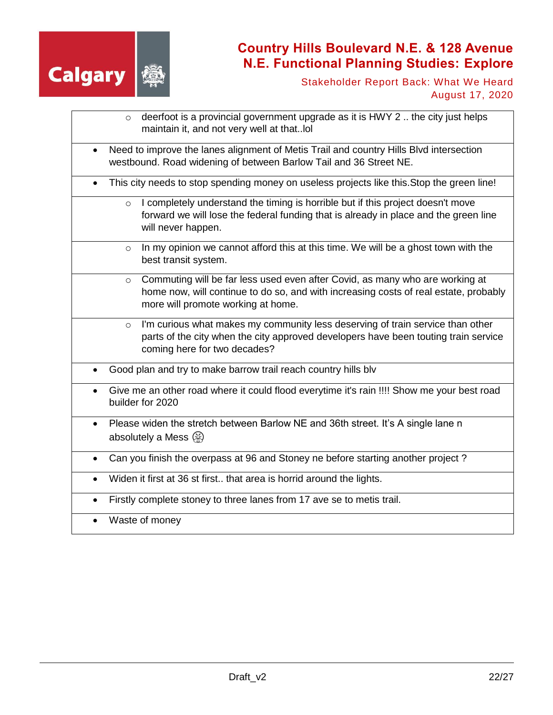

Stakeholder Report Back: What We Heard August 17, 2020

| deerfoot is a provincial government upgrade as it is HWY 2  the city just helps<br>$\circ$<br>maintain it, and not very well at thatIoI                                                                               |
|-----------------------------------------------------------------------------------------------------------------------------------------------------------------------------------------------------------------------|
| Need to improve the lanes alignment of Metis Trail and country Hills Blvd intersection<br>$\bullet$<br>westbound. Road widening of between Barlow Tail and 36 Street NE.                                              |
| This city needs to stop spending money on useless projects like this. Stop the green line!<br>$\bullet$                                                                                                               |
| I completely understand the timing is horrible but if this project doesn't move<br>$\circ$<br>forward we will lose the federal funding that is already in place and the green line<br>will never happen.              |
| In my opinion we cannot afford this at this time. We will be a ghost town with the<br>$\circ$<br>best transit system.                                                                                                 |
| Commuting will be far less used even after Covid, as many who are working at<br>$\circ$<br>home now, will continue to do so, and with increasing costs of real estate, probably<br>more will promote working at home. |
| I'm curious what makes my community less deserving of train service than other<br>$\circ$<br>parts of the city when the city approved developers have been touting train service<br>coming here for two decades?      |
| Good plan and try to make barrow trail reach country hills blv                                                                                                                                                        |
| Give me an other road where it could flood everytime it's rain !!!! Show me your best road<br>$\bullet$<br>builder for 2020                                                                                           |
| Please widen the stretch between Barlow NE and 36th street. It's A single lane n<br>$\bullet$<br>absolutely a Mess $\circledR$                                                                                        |
| Can you finish the overpass at 96 and Stoney ne before starting another project?                                                                                                                                      |
| Widen it first at 36 st first that area is horrid around the lights.                                                                                                                                                  |
| Firstly complete stoney to three lanes from 17 ave se to metis trail.<br>$\bullet$                                                                                                                                    |
| Waste of money                                                                                                                                                                                                        |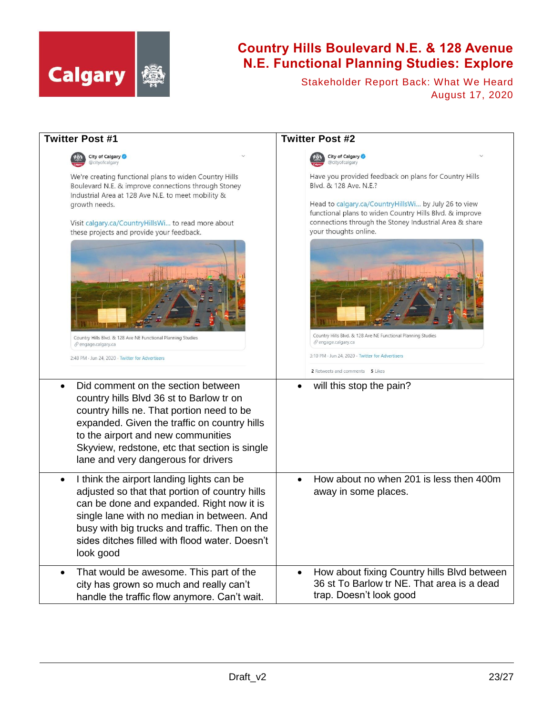

Stakeholder Report Back: What We Heard August 17, 2020

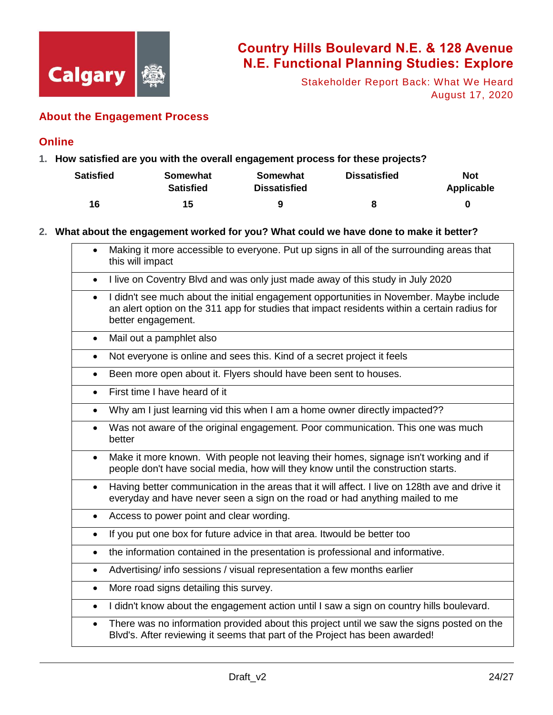

Stakeholder Report Back: What We Heard August 17, 2020

### **About the Engagement Process**

#### **Online**

**1. How satisfied are you with the overall engagement process for these projects?** 

| Satisfied | <b>Somewhat</b><br><b>Satisfied</b> | Somewhat<br><b>Dissatisfied</b> | <b>Dissatisfied</b> | <b>Not</b><br>Applicable |
|-----------|-------------------------------------|---------------------------------|---------------------|--------------------------|
| 16        | 15                                  | 9                               |                     | 0                        |

#### **2. What about the engagement worked for you? What could we have done to make it better?**

|           | Making it more accessible to everyone. Put up signs in all of the surrounding areas that<br>this will impact                                                                                                  |
|-----------|---------------------------------------------------------------------------------------------------------------------------------------------------------------------------------------------------------------|
| $\bullet$ | I live on Coventry Blvd and was only just made away of this study in July 2020                                                                                                                                |
| $\bullet$ | I didn't see much about the initial engagement opportunities in November. Maybe include<br>an alert option on the 311 app for studies that impact residents within a certain radius for<br>better engagement. |
| $\bullet$ | Mail out a pamphlet also                                                                                                                                                                                      |
| $\bullet$ | Not everyone is online and sees this. Kind of a secret project it feels                                                                                                                                       |
| $\bullet$ | Been more open about it. Flyers should have been sent to houses.                                                                                                                                              |
| $\bullet$ | First time I have heard of it                                                                                                                                                                                 |
| $\bullet$ | Why am I just learning vid this when I am a home owner directly impacted??                                                                                                                                    |
| $\bullet$ | Was not aware of the original engagement. Poor communication. This one was much<br>better                                                                                                                     |
| $\bullet$ | Make it more known. With people not leaving their homes, signage isn't working and if<br>people don't have social media, how will they know until the construction starts.                                    |
| $\bullet$ | Having better communication in the areas that it will affect. I live on 128th ave and drive it<br>everyday and have never seen a sign on the road or had anything mailed to me                                |
| $\bullet$ | Access to power point and clear wording.                                                                                                                                                                      |
| $\bullet$ | If you put one box for future advice in that area. It would be better too                                                                                                                                     |
| $\bullet$ | the information contained in the presentation is professional and informative.                                                                                                                                |
| $\bullet$ | Advertising/ info sessions / visual representation a few months earlier                                                                                                                                       |
| $\bullet$ | More road signs detailing this survey.                                                                                                                                                                        |
| $\bullet$ | I didn't know about the engagement action until I saw a sign on country hills boulevard.                                                                                                                      |
| $\bullet$ | There was no information provided about this project until we saw the signs posted on the<br>Blvd's. After reviewing it seems that part of the Project has been awarded!                                      |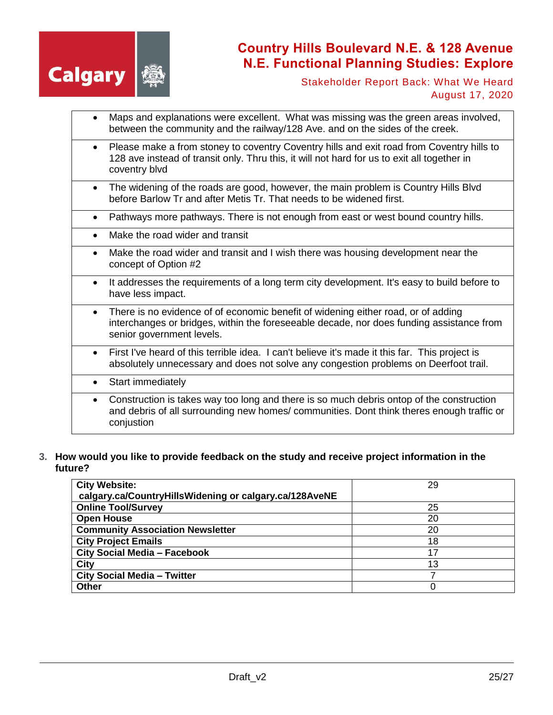

Stakeholder Report Back: What We Heard August 17, 2020

- Maps and explanations were excellent. What was missing was the green areas involved, between the community and the railway/128 Ave. and on the sides of the creek.
- Please make a from stoney to coventry Coventry hills and exit road from Coventry hills to 128 ave instead of transit only. Thru this, it will not hard for us to exit all together in coventry blvd
- The widening of the roads are good, however, the main problem is Country Hills Blvd before Barlow Tr and after Metis Tr. That needs to be widened first.

Pathways more pathways. There is not enough from east or west bound country hills.

- Make the road wider and transit
- Make the road wider and transit and I wish there was housing development near the concept of Option #2
- It addresses the requirements of a long term city development. It's easy to build before to have less impact.
- There is no evidence of of economic benefit of widening either road, or of adding interchanges or bridges, within the foreseeable decade, nor does funding assistance from senior government levels.
- First I've heard of this terrible idea. I can't believe it's made it this far. This project is absolutely unnecessary and does not solve any congestion problems on Deerfoot trail.
- Start immediately
- Construction is takes way too long and there is so much debris ontop of the construction and debris of all surrounding new homes/ communities. Dont think theres enough traffic or conjustion
- **3. How would you like to provide feedback on the study and receive project information in the future?**

| <b>City Website:</b>                                   | 29 |
|--------------------------------------------------------|----|
| calgary.ca/CountryHillsWidening or calgary.ca/128AveNE |    |
| <b>Online Tool/Survey</b>                              | 25 |
| <b>Open House</b>                                      | 20 |
| <b>Community Association Newsletter</b>                | 20 |
| <b>City Project Emails</b>                             | 18 |
| <b>City Social Media - Facebook</b>                    |    |
| City                                                   | 13 |
| <b>City Social Media - Twitter</b>                     |    |
| <b>Other</b>                                           |    |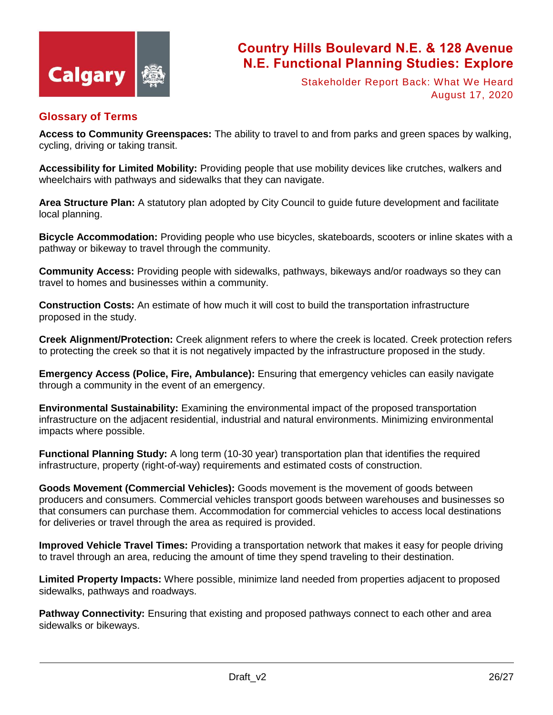

Stakeholder Report Back: What We Heard August 17, 2020

#### **Glossary of Terms**

**Access to Community Greenspaces:** The ability to travel to and from parks and green spaces by walking, cycling, driving or taking transit.

**Accessibility for Limited Mobility:** Providing people that use mobility devices like crutches, walkers and wheelchairs with pathways and sidewalks that they can navigate.

**Area Structure Plan:** A statutory plan adopted by City Council to guide future development and facilitate local planning.

**Bicycle Accommodation:** Providing people who use bicycles, skateboards, scooters or inline skates with a pathway or bikeway to travel through the community.

**Community Access:** Providing people with sidewalks, pathways, bikeways and/or roadways so they can travel to homes and businesses within a community.

**Construction Costs:** An estimate of how much it will cost to build the transportation infrastructure proposed in the study.

**Creek Alignment/Protection:** Creek alignment refers to where the creek is located. Creek protection refers to protecting the creek so that it is not negatively impacted by the infrastructure proposed in the study.

**Emergency Access (Police, Fire, Ambulance):** Ensuring that emergency vehicles can easily navigate through a community in the event of an emergency.

**Environmental Sustainability:** Examining the environmental impact of the proposed transportation infrastructure on the adjacent residential, industrial and natural environments. Minimizing environmental impacts where possible.

**Functional Planning Study:** A long term (10-30 year) transportation plan that identifies the required infrastructure, property (right-of-way) requirements and estimated costs of construction.

**Goods Movement (Commercial Vehicles):** Goods movement is the movement of goods between producers and consumers. Commercial vehicles transport goods between warehouses and businesses so that consumers can purchase them. Accommodation for commercial vehicles to access local destinations for deliveries or travel through the area as required is provided.

**Improved Vehicle Travel Times:** Providing a transportation network that makes it easy for people driving to travel through an area, reducing the amount of time they spend traveling to their destination.

**Limited Property Impacts:** Where possible, minimize land needed from properties adjacent to proposed sidewalks, pathways and roadways.

**Pathway Connectivity:** Ensuring that existing and proposed pathways connect to each other and area sidewalks or bikeways.